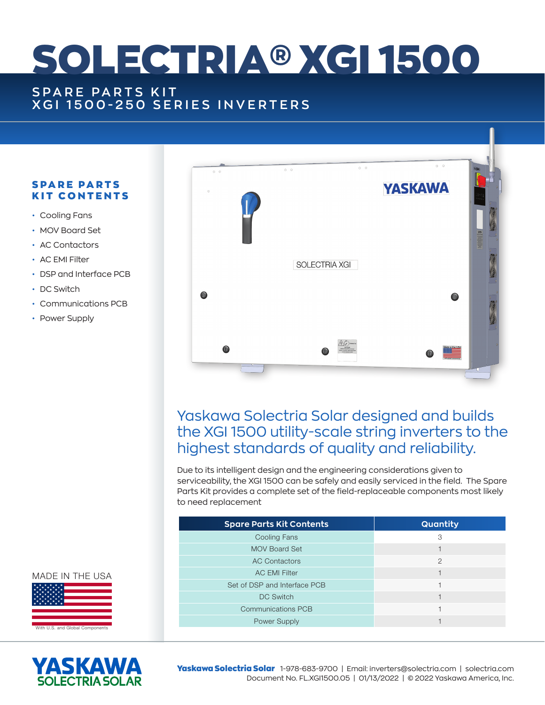# SOLECTRIA® XGI 1500

# **SPARE PARTS KIT XGI 1500-250 SERIES INVERTERS**

## **SPARE PARTS** KIT CONTENTS

- Cooling Fans
- MOV Board Set
- AC Contactors
- AC EMI Filter
- DSP and Interface PCB
- DC Switch
- Communications PCB
- Power Supply



# Yaskawa Solectria Solar designed and builds the XGI 1500 utility-scale string inverters to the highest standards of quality and reliability.

Due to its intelligent design and the engineering considerations given to serviceability, the XGI 1500 can be safely and easily serviced in the field. The Spare Parts Kit provides a complete set of the field-replaceable components most likely to need replacement

| <b>Spare Parts Kit Contents</b> | <b>Quantity</b> |
|---------------------------------|-----------------|
| <b>Cooling Fans</b>             | 3               |
| <b>MOV Board Set</b>            |                 |
| <b>AC Contactors</b>            | $\mathcal{P}$   |
| <b>AC EMI Filter</b>            |                 |
| Set of DSP and Interface PCB    |                 |
| <b>DC Switch</b>                |                 |
| <b>Communications PCB</b>       |                 |
| <b>Power Supply</b>             |                 |







Yaskawa Solectria Solar 1-978-683-9700 | Email: inverters@solectria.com | solectria.com Document No. FL.XGI1500.05 | 01/13/2022 | © 2022 Yaskawa America, Inc.